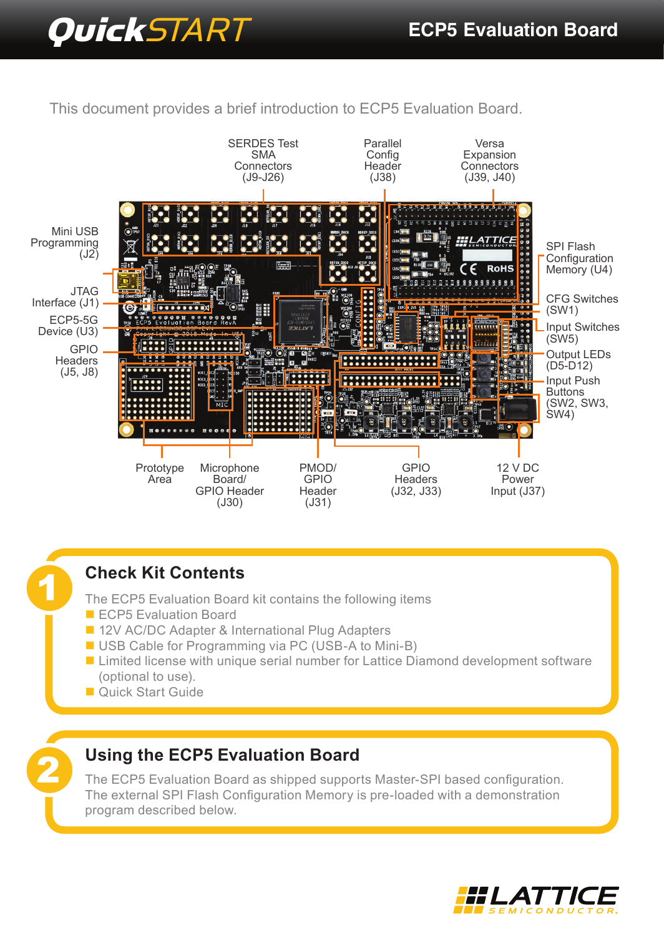# **Quick**START **ECP5 Evaluation Board**

This document provides a brief introduction to ECP5 Evaluation Board.



## **Check Kit Contents**

The ECP5 Evaluation Board kit contains the following items

ECP5 Evaluation Board

1

2

- 12V AC/DC Adapter & International Plug Adapters
- USB Cable for Programming via PC (USB-A to Mini-B)
- Limited license with unique serial number for Lattice Diamond development software (optional to use).
- Quick Start Guide

# **Using the ECP5 Evaluation Board**

The ECP5 Evaluation Board as shipped supports Master-SPI based configuration. The external SPI Flash Configuration Memory is pre-loaded with a demonstration program described below.